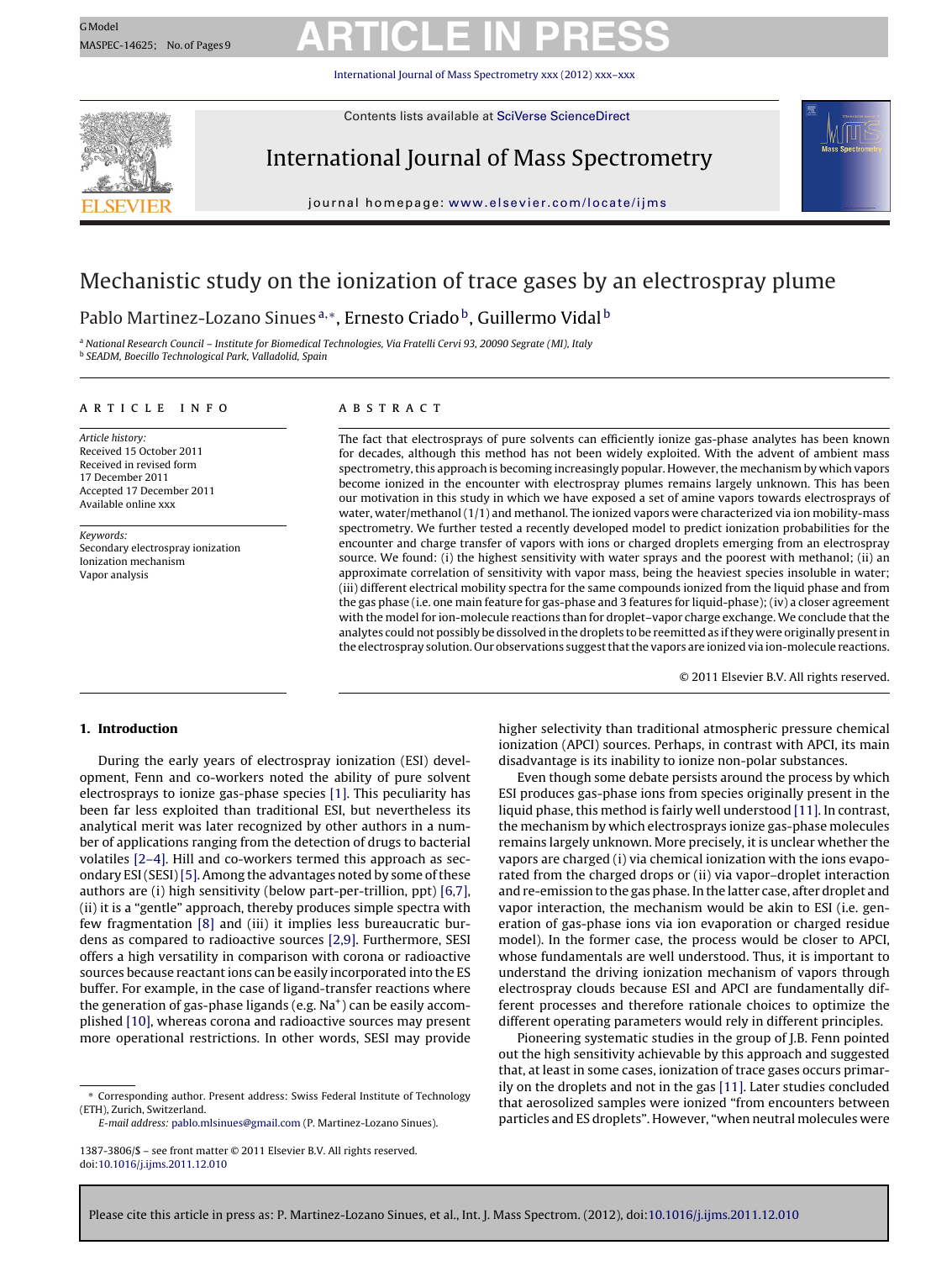International Journal of Mass Spectrometry [xxx \(2012\) xxx–xxx](dx.doi.org/10.1016/j.ijms.2011.12.010)



Contents lists available at SciVerse [ScienceDirect](http://www.sciencedirect.com/science/journal/13873806)

### International Journal of Mass Spectrometry



iournal homepage: www.elsevier.com/locate/iims

### Mechanistic study on the ionization of trace gases by an electrospray plume

Pablo Martinez-Lozano Sinues<sup>a,∗</sup>, Ernesto Criado<sup>b</sup>, Guillermo Vidal<sup>b</sup>

<sup>a</sup> National Research Council – Institute for Biomedical Technologies, Via Fratelli Cervi 93, 20090 Segrate (MI), Italy <sup>b</sup> SEADM, Boecillo Technological Park, Valladolid, Spain

### a r t i c l e i n f o

Article history: Received 15 October 2011 Received in revised form 17 December 2011 Accepted 17 December 2011 Available online xxx

Keywords: Secondary electrospray ionization Ionization mechanism Vapor analysis

### A B S T R A C T

The fact that electrosprays of pure solvents can efficiently ionize gas-phase analytes has been known for decades, although this method has not been widely exploited. With the advent of ambient mass spectrometry, this approach is becoming increasingly popular. However, the mechanism by which vapors become ionized in the encounter with electrospray plumes remains largely unknown. This has been our motivation in this study in which we have exposed a set of amine vapors towards electrosprays of water, water/methanol (1/1) and methanol. The ionized vapors were characterized via ion mobility-mass spectrometry. We further tested a recently developed model to predict ionization probabilities for the encounter and charge transfer of vapors with ions or charged droplets emerging from an electrospray source. We found: (i) the highest sensitivity with water sprays and the poorest with methanol; (ii) an approximate correlation of sensitivity with vapor mass, being the heaviest species insoluble in water; (iii) different electrical mobility spectra for the same compounds ionized from the liquid phase and from the gas phase (i.e. one main feature for gas-phase and 3 features for liquid-phase); (iv) a closer agreement with the model for ion-molecule reactions than for droplet-vapor charge exchange. We conclude that the analytes could not possibly be dissolved in the droplets to be reemitted as ifthey were originally presentin the electrospray solution. Our observations suggest that the vapors are ionized via ion-molecule reactions.

© 2011 Elsevier B.V. All rights reserved.

### **1. Introduction**

During the early years of electrospray ionization (ESI) development, Fenn and co-workers noted the ability of pure solvent electrosprays to ionize gas-phase species [\[1\].](#page-7-0) This peculiarity has been far less exploited than traditional ESI, but nevertheless its analytical merit was later recognized by other authors in a number of applications ranging from the detection of drugs to bacterial volatiles [\[2–4\].](#page-7-0) Hill and co-workers termed this approach as sec-ondary ESI (SESI) [\[5\].](#page-7-0) Among the advantages noted by some of these authors are (i) high sensitivity (below part-per-trillion, ppt) [\[6,7\],](#page-7-0) (ii) it is a "gentle" approach, thereby produces simple spectra with few fragmentation [\[8\]](#page-7-0) and (iii) it implies less bureaucratic burdens as compared to radioactive sources [\[2,9\].](#page-7-0) Furthermore, SESI offers a high versatility in comparison with corona or radioactive sources because reactant ions can be easily incorporated into the ES buffer. For example, in the case of ligand-transfer reactions where the generation of gas-phase ligands (e.g.  $Na<sup>+</sup>$ ) can be easily accomplished [\[10\],](#page-7-0) whereas corona and radioactive sources may present more operational restrictions. In other words, SESI may provide

∗ Corresponding author. Present address: Swiss Federal Institute of Technology (ETH), Zurich, Switzerland.

E-mail address: [pablo.mlsinues@gmail.com](mailto:pablo.mlsinues@gmail.com) (P. Martinez-Lozano Sinues).

higher selectivity than traditional atmospheric pressure chemical ionization (APCI) sources. Perhaps, in contrast with APCI, its main disadvantage is its inability to ionize non-polar substances.

Even though some debate persists around the process by which ESI produces gas-phase ions from species originally present in the liquid phase, this method is fairly well understood [\[11\].](#page-7-0) In contrast, the mechanism by which electrosprays ionize gas-phase molecules remains largely unknown. More precisely, it is unclear whether the vapors are charged (i) via chemical ionization with the ions evaporated from the charged drops or (ii) via vapor–droplet interaction and re-emission to the gas phase. In the latter case, after droplet and vapor interaction, the mechanism would be akin to ESI (i.e. generation of gas-phase ions via ion evaporation or charged residue model). In the former case, the process would be closer to APCI, whose fundamentals are well understood. Thus, it is important to understand the driving ionization mechanism of vapors through electrospray clouds because ESI and APCI are fundamentally different processes and therefore rationale choices to optimize the different operating parameters would rely in different principles.

Pioneering systematic studies in the group of J.B. Fenn pointed out the high sensitivity achievable by this approach and suggested that, at least in some cases, ionization of trace gases occurs primarily on the droplets and not in the gas [\[11\].](#page-7-0) Later studies concluded that aerosolized samples were ionized "from encounters between particles and ES droplets". However, "when neutral molecules were

<sup>1387-3806/\$</sup> – see front matter © 2011 Elsevier B.V. All rights reserved. doi:[10.1016/j.ijms.2011.12.010](dx.doi.org/10.1016/j.ijms.2011.12.010)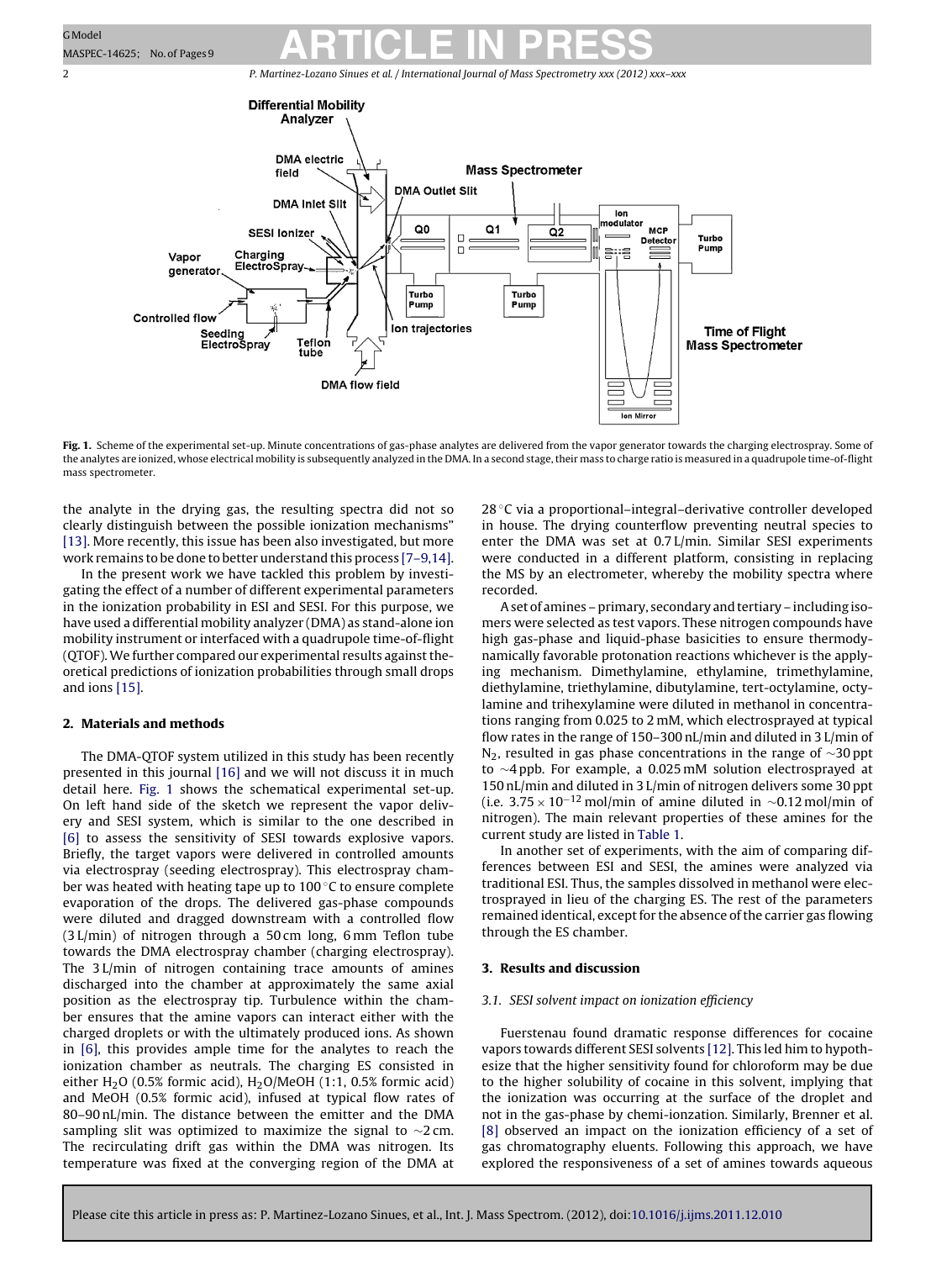<span id="page-1-0"></span>



**Fig. 1.** Scheme of the experimental set-up. Minute concentrations of gas-phase analytes are delivered from the vapor generator towards the charging electrospray. Some of the analytes are ionized, whose electrical mobility is subsequently analyzed in the DMA. In a second stage, their mass to charge ratio is measured in a quadrupole time-of-flight mass spectrometer.

the analyte in the drying gas, the resulting spectra did not so clearly distinguish between the possible ionization mechanisms" [\[13\].](#page-7-0) More recently, this issue has been also investigated, but more work remains to be done to better understand this process [\[7–9,14\].](#page-7-0)

In the present work we have tackled this problem by investigating the effect of a number of different experimental parameters in the ionization probability in ESI and SESI. For this purpose, we have used a differential mobility analyzer (DMA) as stand-alone ion mobility instrument or interfaced with a quadrupole time-of-flight (QTOF). We further compared our experimental results against theoretical predictions of ionization probabilities through small drops and ions [\[15\].](#page-7-0)

### **2. Materials and methods**

The DMA-QTOF system utilized in this study has been recently presented in this journal [\[16\]](#page-7-0) and we will not discuss it in much detail here. Fig. 1 shows the schematical experimental set-up. On left hand side of the sketch we represent the vapor delivery and SESI system, which is similar to the one described in [\[6\]](#page-7-0) to assess the sensitivity of SESI towards explosive vapors. Briefly, the target vapors were delivered in controlled amounts via electrospray (seeding electrospray). This electrospray chamber was heated with heating tape up to 100 ℃ to ensure complete evaporation of the drops. The delivered gas-phase compounds were diluted and dragged downstream with a controlled flow (3 L/min) of nitrogen through a 50 cm long, 6 mm Teflon tube towards the DMA electrospray chamber (charging electrospray). The 3 L/min of nitrogen containing trace amounts of amines discharged into the chamber at approximately the same axial position as the electrospray tip. Turbulence within the chamber ensures that the amine vapors can interact either with the charged droplets or with the ultimately produced ions. As shown in [\[6\],](#page-7-0) this provides ample time for the analytes to reach the ionization chamber as neutrals. The charging ES consisted in either H<sub>2</sub>O (0.5% formic acid), H<sub>2</sub>O/MeOH (1:1, 0.5% formic acid) and MeOH (0.5% formic acid), infused at typical flow rates of 80–90 nL/min. The distance between the emitter and the DMA sampling slit was optimized to maximize the signal to ∼2 cm. The recirculating drift gas within the DMA was nitrogen. Its temperature was fixed at the converging region of the DMA at

28 °C via a proportional–integral–derivative controller developed in house. The drying counterflow preventing neutral species to enter the DMA was set at 0.7 L/min. Similar SESI experiments were conducted in a different platform, consisting in replacing the MS by an electrometer, whereby the mobility spectra where recorded.

Aset of amines – primary, secondary and tertiary – including isomers were selected as test vapors. These nitrogen compounds have high gas-phase and liquid-phase basicities to ensure thermodynamically favorable protonation reactions whichever is the applying mechanism. Dimethylamine, ethylamine, trimethylamine, diethylamine, triethylamine, dibutylamine, tert-octylamine, octylamine and trihexylamine were diluted in methanol in concentrations ranging from 0.025 to 2 mM, which electrosprayed at typical flow rates in the range of 150–300 nL/min and diluted in 3 L/min of N<sub>2</sub>, resulted in gas phase concentrations in the range of  $\sim$ 30 ppt to ∼4 ppb. For example, a 0.025 mM solution electrosprayed at 150 nL/min and diluted in 3 L/min of nitrogen delivers some 30 ppt (i.e.  $3.75 \times 10^{-12}$  mol/min of amine diluted in ~0.12 mol/min of nitrogen). The main relevant properties of these amines for the current study are listed in [Table](#page-2-0) 1.

In another set of experiments, with the aim of comparing differences between ESI and SESI, the amines were analyzed via traditional ESI. Thus, the samples dissolved in methanol were electrosprayed in lieu of the charging ES. The rest of the parameters remained identical, except for the absence of the carrier gas flowing through the ES chamber.

### **3. Results and discussion**

### 3.1. SESI solvent impact on ionization efficiency

Fuerstenau found dramatic response differences for cocaine vapors towards different SESI solvents [\[12\].](#page-7-0) This led him to hypothesize that the higher sensitivity found for chloroform may be due to the higher solubility of cocaine in this solvent, implying that the ionization was occurring at the surface of the droplet and not in the gas-phase by chemi-ionzation. Similarly, Brenner et al. [\[8\]](#page-7-0) observed an impact on the ionization efficiency of a set of gas chromatography eluents. Following this approach, we have explored the responsiveness of a set of amines towards aqueous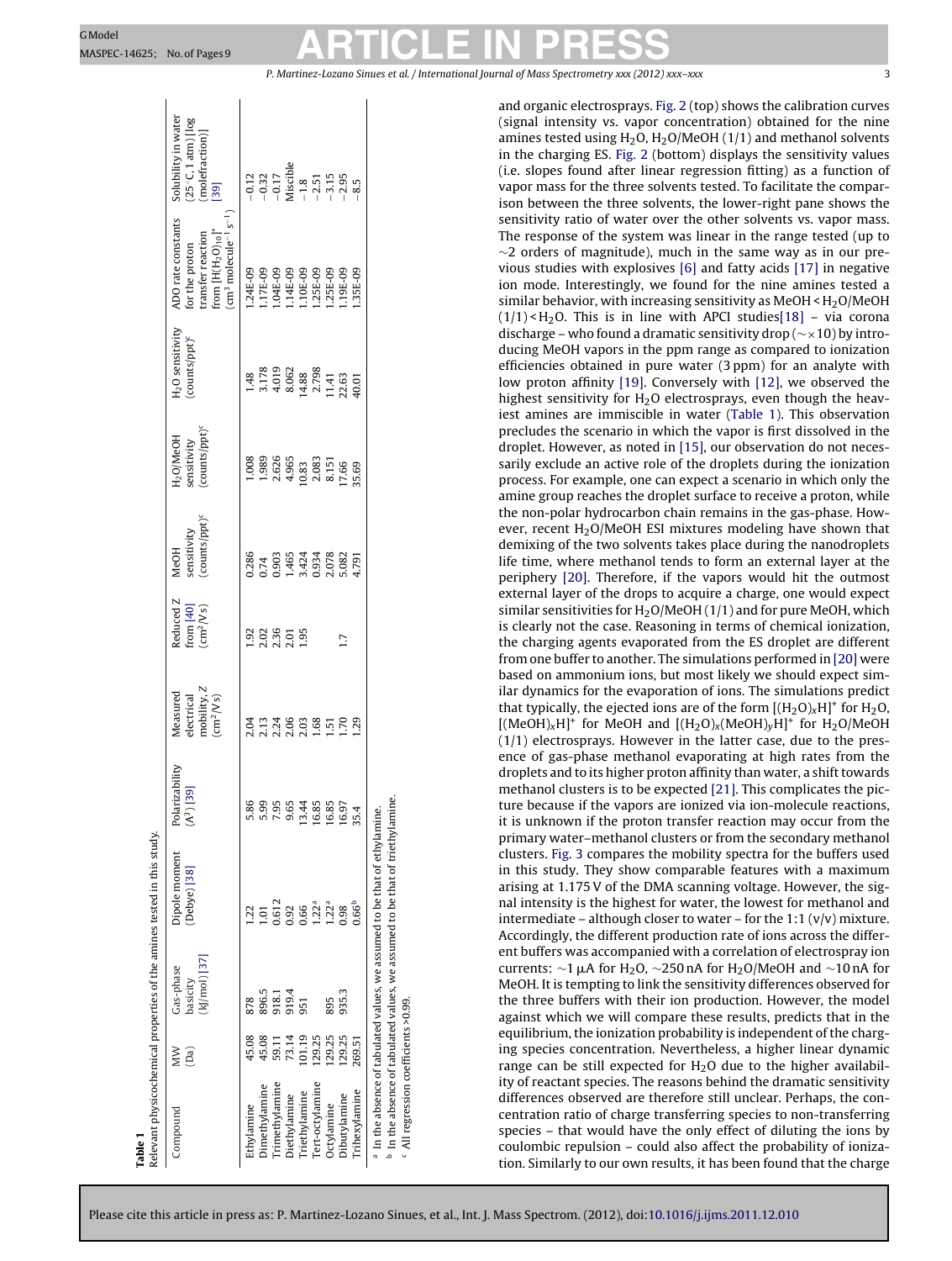**Table 1**

# <span id="page-2-0"></span>GModel ARTICLE IN PRESS

P. Martinez-Lozano Sinues et al. / International Journal of Mass Spectrometry *xxx (2012) xxx–xxx* 3

|                                                 |            |                                           | Relevant physicochemical properties of the amines tested in this study.                  |                                          |                                                                   |                                                         |                                                           |                                                                                                                                       |                                                                               |                                                                                                              |                                                                                                       |
|-------------------------------------------------|------------|-------------------------------------------|------------------------------------------------------------------------------------------|------------------------------------------|-------------------------------------------------------------------|---------------------------------------------------------|-----------------------------------------------------------|---------------------------------------------------------------------------------------------------------------------------------------|-------------------------------------------------------------------------------|--------------------------------------------------------------------------------------------------------------|-------------------------------------------------------------------------------------------------------|
| Compound                                        | ŠΜ<br>(Da) | $[k]$ /mol) [37]<br>Gas-phase<br>basicity | Dipole moment<br>[Debye] [38]                                                            | Polarizability<br>(A <sup>3</sup> ) [39] | electrical<br>mobility, $Z$<br>(cm <sup>2</sup> /V s)<br>Measured | Reduced Z<br>from [40]<br>$\frac{40}{\text{cm}^2/N}$ s) | counts/ppt) <sup>c</sup><br>ensitivity<br>MeOH            | counts/ppt) <sup>c</sup><br>$H_2O/MeOH$<br>sensitivity                                                                                | H <sub>2</sub> O sensitivity<br>counts/ppt) <sup>c</sup>                      | $cm3 molecule-1 s-1$<br>ADO rate constants<br>from $[H(H_2O)_{10}]^+$<br>for the proton<br>transfer reaction | Solubility in water<br>25°C, 1 atm) [log<br>$\frac{1}{2}$ [39]                                        |
| Ethylamine                                      | 45.08      | 878                                       |                                                                                          | 5.86                                     |                                                                   |                                                         |                                                           | 1.008                                                                                                                                 |                                                                               | $.24E-09$                                                                                                    |                                                                                                       |
| <b>Dimethylamine</b>                            | 45.08      | 896.5                                     |                                                                                          | 5.99                                     |                                                                   | $\frac{23}{2850}$<br>$\frac{23}{285}$                   | 0.286<br>0.74<br>0.903<br>0.3424<br>0.0282<br>0.02824.791 |                                                                                                                                       | 1.48<br>3.178<br>3.00<br>4.88<br>4.79<br>4.00<br>4.00<br>4.00<br>4.00<br>4.00 |                                                                                                              | $-0.12$<br>$-0.32$<br>$-0.17$<br>Miscible<br>$-1.8$<br>$-1.5$<br>$-1.5$<br>$-1.5$<br>$-8.5$<br>$-8.5$ |
| rimethylamine                                   | 59.11      | 918.1                                     | 0.612                                                                                    | 7.95                                     |                                                                   |                                                         |                                                           |                                                                                                                                       |                                                                               |                                                                                                              |                                                                                                       |
| Diethylamine                                    | 73.14      | 919.4                                     | 0.92                                                                                     | 9.65                                     |                                                                   |                                                         |                                                           | $\begin{array}{c} 1.989 \\ 2.626 \\ 4.965 \\ 0.83 \\ 2.083 \\ 8.151 \\ 0.66 \\ 1.50 \\ 9.83 \\ 1.51 \\ 9.69 \\ 1.7.69 \\ \end{array}$ |                                                                               | $17E-09$ $04E-09$ $04E-09$ $04E-09$ $04E-09$ $04E-09$ $04E-09$ $04E-09$ $04E-09$ $04E-09$ $04E-09$           |                                                                                                       |
| Triethylamine                                   | 101.19     | 951                                       | 0.66                                                                                     | 3.44                                     |                                                                   |                                                         |                                                           |                                                                                                                                       |                                                                               |                                                                                                              |                                                                                                       |
| Tert-octvlamine                                 | 129.25     |                                           | 1.22 <sup>a</sup>                                                                        | 16.85                                    |                                                                   |                                                         |                                                           |                                                                                                                                       |                                                                               |                                                                                                              |                                                                                                       |
| Octylamine                                      | 129.25     | 895                                       | 22 <sup>a</sup>                                                                          | 16.85                                    |                                                                   |                                                         |                                                           |                                                                                                                                       |                                                                               |                                                                                                              |                                                                                                       |
| <b>Dibutylamine</b>                             | 129.25     | 935.3                                     | 0.98                                                                                     | 16.97                                    | ΓŠ                                                                | $\overline{17}$                                         |                                                           |                                                                                                                                       |                                                                               | $.19E-09$                                                                                                    |                                                                                                       |
| rihexylamine                                    | 269.51     |                                           | 0.66 <sup>b</sup>                                                                        | 35.4                                     | $\overline{5}$                                                    |                                                         |                                                           |                                                                                                                                       |                                                                               | 35E-09                                                                                                       |                                                                                                       |
|                                                 |            |                                           | <sup>a</sup> In the absence of tabulated values, we assumed to be that of ethylamine.    |                                          |                                                                   |                                                         |                                                           |                                                                                                                                       |                                                                               |                                                                                                              |                                                                                                       |
|                                                 |            |                                           | <sup>b</sup> In the absence of tabulated values, we assumed to be that of triethylamine. |                                          |                                                                   |                                                         |                                                           |                                                                                                                                       |                                                                               |                                                                                                              |                                                                                                       |
| <sup>c</sup> All regression coefficients >0.99. |            |                                           |                                                                                          |                                          |                                                                   |                                                         |                                                           |                                                                                                                                       |                                                                               |                                                                                                              |                                                                                                       |

and organic electrosprays. [Fig.](#page-3-0) 2 (top) shows the calibration curves (signal intensity vs. vapor concentration) obtained for the nine amines tested using  $H_2O$ ,  $H_2O/MeOH$  (1/1) and methanol solvents in the charging ES. [Fig.](#page-3-0) 2 (bottom) displays the sensitivity values (i.e. slopes found after linear regression fitting) as a function of vapor mass for the three solvents tested. To facilitate the comparison between the three solvents, the lower-right pane shows the sensitivity ratio of water over the other solvents vs. vapor mass. The response of the system was linear in the range tested (up to  $\sim$ 2 orders of magnitude), much in the same way as in our previous studies with explosives [\[6\]](#page-7-0) and fatty acids [\[17\]](#page-7-0) in negative ion mode. Interestingly, we found for the nine amines tested a similar behavior, with increasing sensitivity as  $MeOH < H<sub>2</sub>O/MeOH$  $(1/1)$  < H<sub>2</sub>O. This is in line with APCI studies [18] – via corona discharge – who found a dramatic sensitivity drop (∼×10) by introducing MeOH vapors in the ppm range as compared to ionization efficiencies obtained in pure water (3 ppm) for an analyte with low proton affinity [\[19\].](#page-8-0) Conversely with [\[12\],](#page-7-0) we observed the highest sensitivity for  $H<sub>2</sub>O$  electrosprays, even though the heaviest amines are immiscible in water (Table 1). This observation precludes the scenario in which the vapor is first dissolved in the droplet. However, as noted in [\[15\],](#page-7-0) our observation do not necessarily exclude an active role of the droplets during the ionization process. For example, one can expect a scenario in which only the amine group reaches the droplet surface to receive a proton, while the non-polar hydrocarbon chain remains in the gas-phase. However, recent  $H<sub>2</sub>O/MeOH$  ESI mixtures modeling have shown that demixing of the two solvents takes place during the nanodroplets life time, where methanol tends to form an external layer at the periphery [\[20\].](#page-8-0) Therefore, if the vapors would hit the outmost external layer of the drops to acquire a charge, one would expect similar sensitivities for  $H_2O/MeOH$  (1/1) and for pure MeOH, which is clearly not the case. Reasoning in terms of chemical ionization, the charging agents evaporated from the ES droplet are different from one buffer to another. The simulations performed in [\[20\]](#page-8-0) were based on ammonium ions, but most likely we should expect similar dynamics for the evaporation of ions. The simulations predict that typically, the ejected ions are of the form  $[(H_2O)_xH]^+$  for  $H_2O$ ,  $[(MeOH)_xH]^+$  for MeOH and  $[(H_2O)_x(MeOH)_vH]^+$  for H<sub>2</sub>O/MeOH (1/1) electrosprays. However in the latter case, due to the presence of gas-phase methanol evaporating at high rates from the droplets and to its higher proton affinity than water, a shift towards methanol clusters is to be expected [\[21\].](#page-8-0) This complicates the picture because if the vapors are ionized via ion-molecule reactions, it is unknown if the proton transfer reaction may occur from the primary water–methanol clusters or from the secondary methanol clusters. [Fig.](#page-4-0) 3 compares the mobility spectra for the buffers used in this study. They show comparable features with a maximum arising at 1.175V of the DMA scanning voltage. However, the signal intensity is the highest for water, the lowest for methanol and intermediate – although closer to water – for the 1:1  $(v/v)$  mixture. Accordingly, the different production rate of ions across the different buffers was accompanied with a correlation of electrospray ion currents:  $\sim$ 1 µA for H<sub>2</sub>O,  $\sim$ 250 nA for H<sub>2</sub>O/MeOH and  $\sim$ 10 nA for MeOH. It is tempting to link the sensitivity differences observed for the three buffers with their ion production. However, the model against which we will compare these results, predicts that in the equilibrium, the ionization probability is independent of the charging species concentration. Nevertheless, a higher linear dynamic range can be still expected for  $H<sub>2</sub>O$  due to the higher availability of reactant species. The reasons behind the dramatic sensitivity differences observed are therefore still unclear. Perhaps, the concentration ratio of charge transferring species to non-transferring species – that would have the only effect of diluting the ions by coulombic repulsion – could also affect the probability of ionization. Similarly to our own results, it has been found that the charge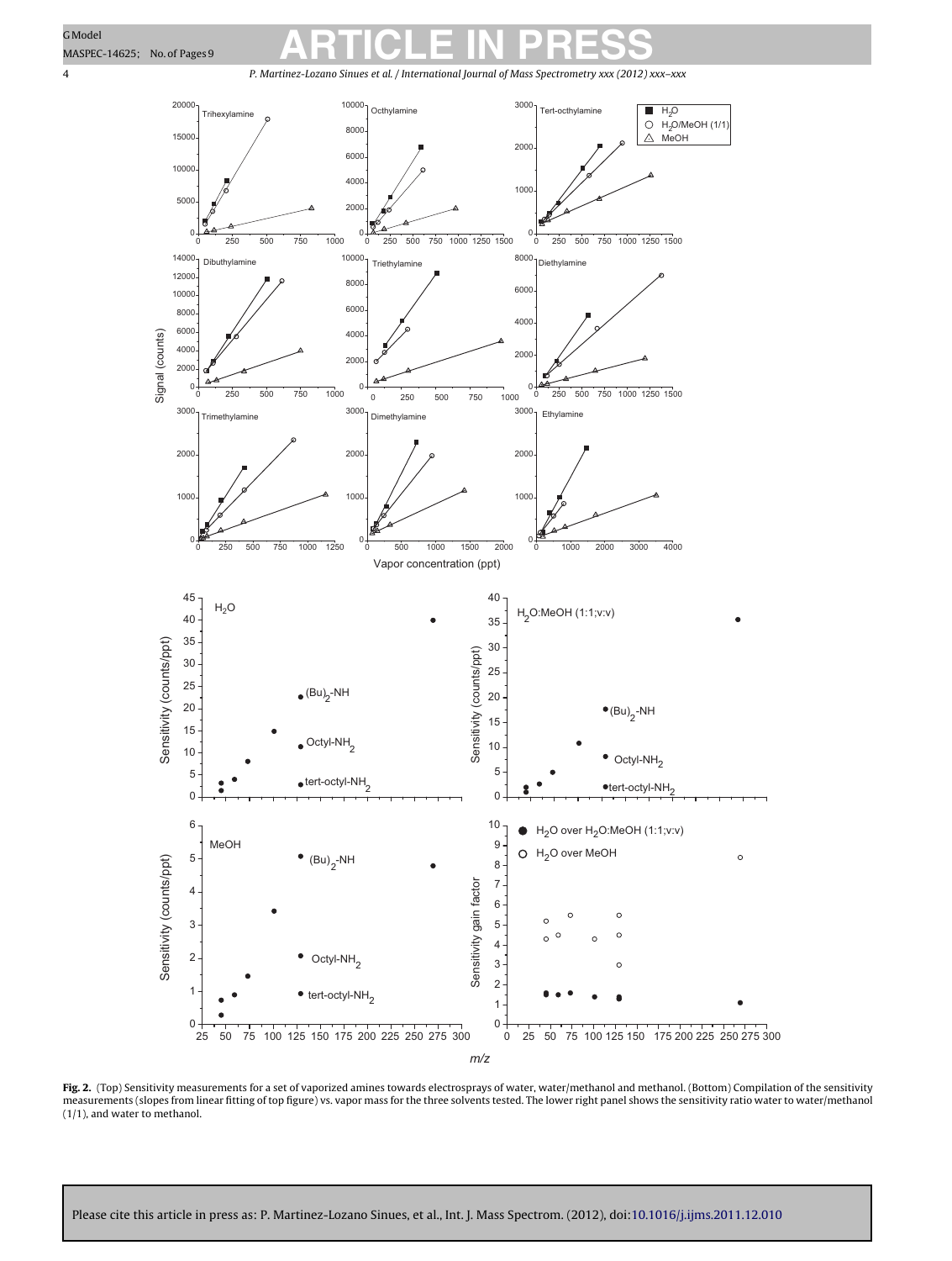<span id="page-3-0"></span>P. Martinez-Lozano Sinues et al. / International Journal of Mass Spectrometry *xxx (2012) xxx–xxx*



**Fig. 2.** (Top) Sensitivity measurements for a set of vaporized amines towards electrosprays of water, water/methanol and methanol. (Bottom) Compilation of the sensitivity measurements (slopes from linear fitting of top figure) vs. vapor mass for the three solvents tested. The lower right panel shows the sensitivity ratio water to water/methanol (1/1), and water to methanol.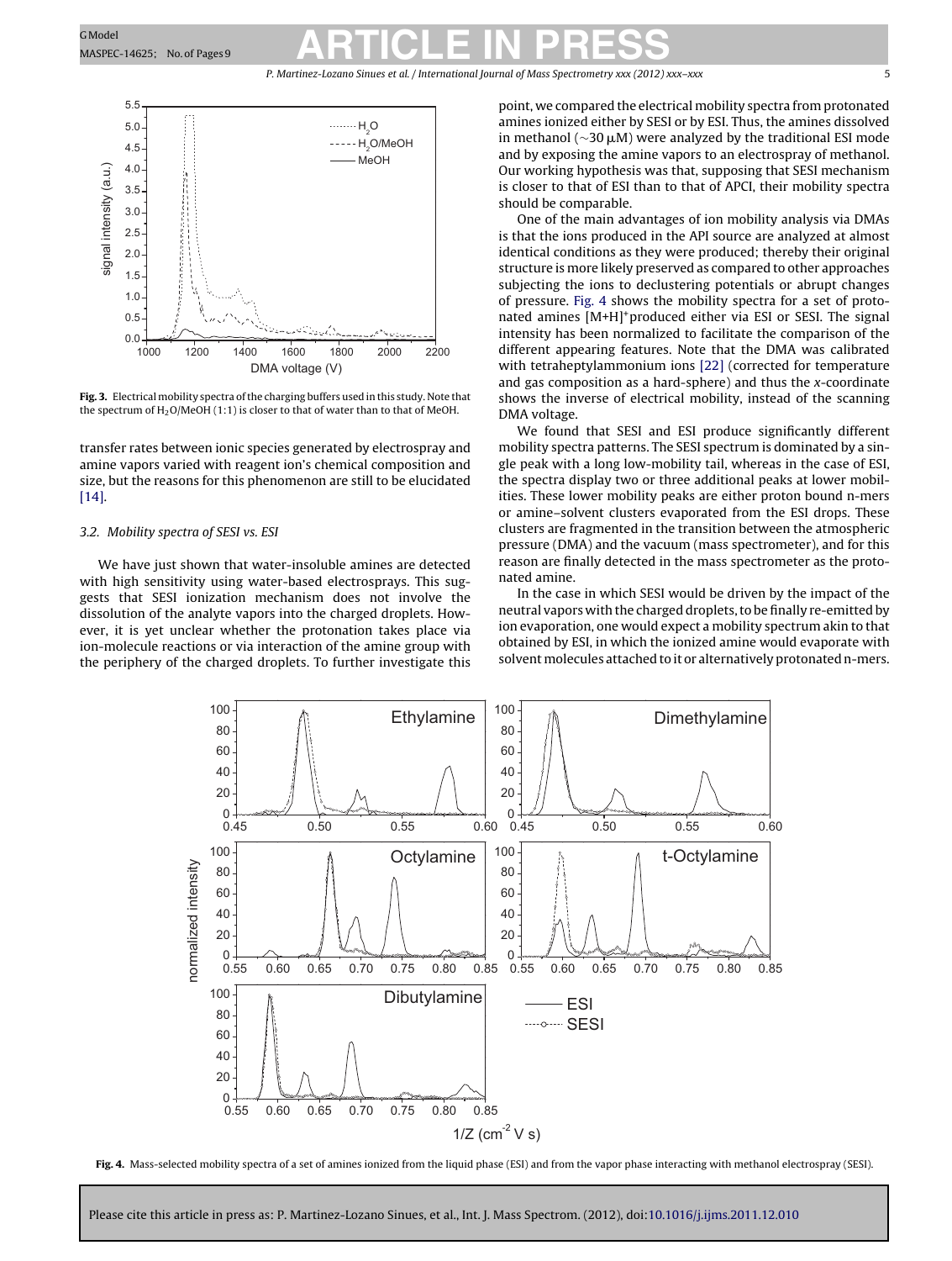P. Martinez-Lozano Sinues et al. / International Journal of Mass Spectrometry *xxx (2012) xxx–xxx* 5

<span id="page-4-0"></span>

**Fig. 3.** Electrical mobility spectra of the charging buffers used in this study. Note that the spectrum of  $H_2O/MeOH$  (1:1) is closer to that of water than to that of MeOH.

transfer rates between ionic species generated by electrospray and amine vapors varied with reagent ion's chemical composition and size, but the reasons for this phenomenon are still to be elucidated [\[14\].](#page-7-0)

### 3.2. Mobility spectra of SESI vs. ESI

We have just shown that water-insoluble amines are detected with high sensitivity using water-based electrosprays. This suggests that SESI ionization mechanism does not involve the dissolution of the analyte vapors into the charged droplets. However, it is yet unclear whether the protonation takes place via ion-molecule reactions or via interaction of the amine group with the periphery of the charged droplets. To further investigate this

point, we compared the electrical mobility spectra from protonated amines ionized either by SESI or by ESI. Thus, the amines dissolved in methanol ( $\sim$ 30 µM) were analyzed by the traditional ESI mode and by exposing the amine vapors to an electrospray of methanol. Our working hypothesis was that, supposing that SESI mechanism is closer to that of ESI than to that of APCI, their mobility spectra should be comparable.

One of the main advantages of ion mobility analysis via DMAs is that the ions produced in the API source are analyzed at almost identical conditions as they were produced; thereby their original structure is more likely preserved as compared to other approaches subjecting the ions to declustering potentials or abrupt changes of pressure. Fig. 4 shows the mobility spectra for a set of protonated amines [M+H]<sup>+</sup>produced either via ESI or SESI. The signal intensity has been normalized to facilitate the comparison of the different appearing features. Note that the DMA was calibrated with tetraheptylammonium ions [\[22\]](#page-8-0) (corrected for temperature and gas composition as a hard-sphere) and thus the  $x$ -coordinate shows the inverse of electrical mobility, instead of the scanning DMA voltage.

We found that SESI and ESI produce significantly different mobility spectra patterns. The SESI spectrum is dominated by a single peak with a long low-mobility tail, whereas in the case of ESI, the spectra display two or three additional peaks at lower mobilities. These lower mobility peaks are either proton bound n-mers or amine–solvent clusters evaporated from the ESI drops. These clusters are fragmented in the transition between the atmospheric pressure (DMA) and the vacuum (mass spectrometer), and for this reason are finally detected in the mass spectrometer as the protonated amine.

In the case in which SESI would be driven by the impact of the neutral vapors with the charged droplets, to be finally re-emitted by ion evaporation, one would expect a mobility spectrum akin to that obtained by ESI, in which the ionized amine would evaporate with solvent molecules attached to it or alternatively protonated n-mers.



**Fig. 4.** Mass-selected mobility spectra of a set of amines ionized from the liquid phase (ESI) and from the vapor phase interacting with methanol electrospray (SESI).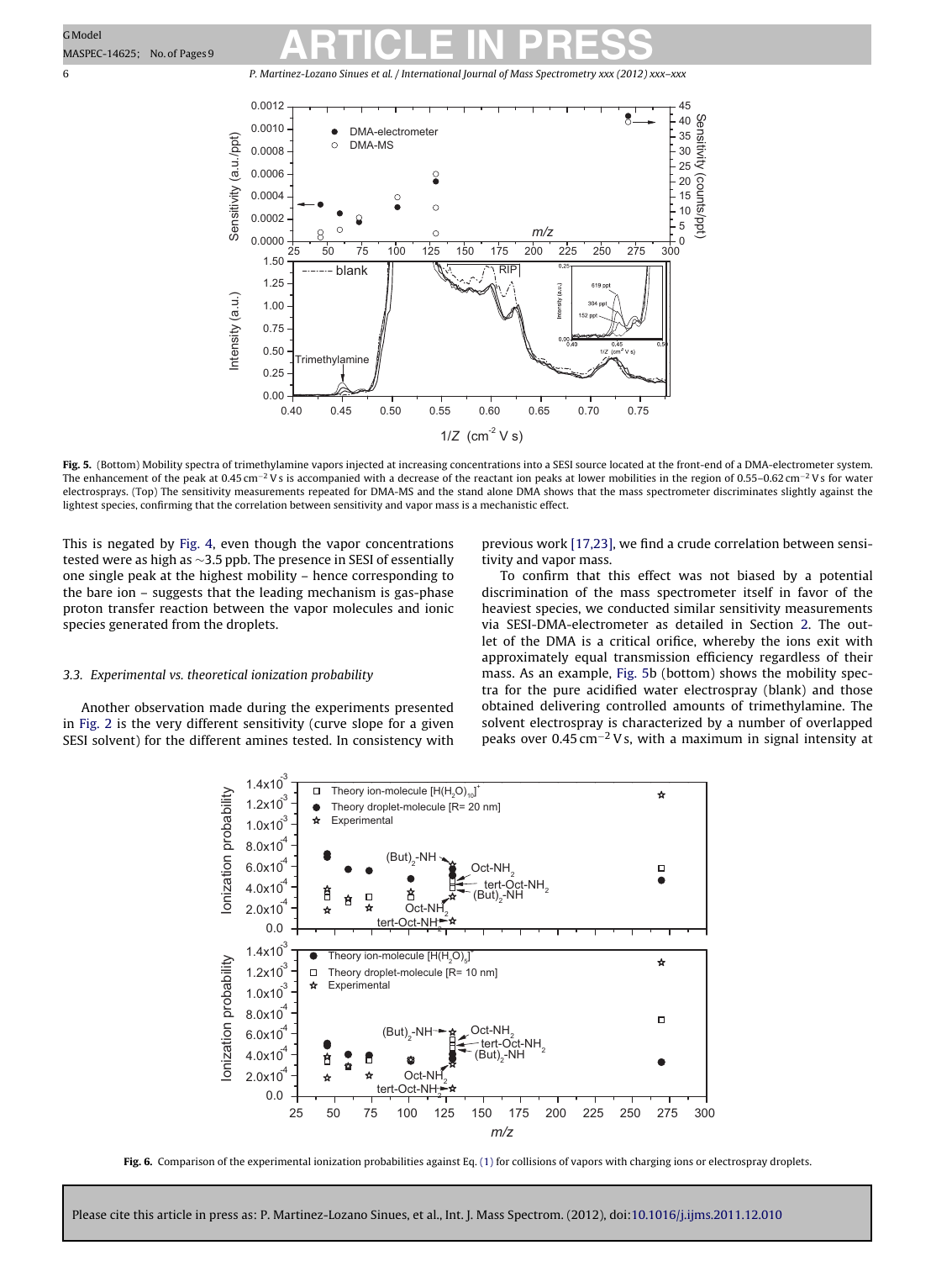6 P. Martinez-Lozano Sinues et al. / International Journal of Mass Spectrometry *xxx (2012) xxx–xxx*



**Fig. 5.** (Bottom) Mobility spectra of trimethylamine vapors injected at increasing concentrations into a SESI source located at the front-end of a DMA-electrometer system. The enhancement of the peak at 0.45 cm<sup>-2</sup> Vs is accompanied with a decrease of the reactant ion peaks at lower mobilities in the region of 0.55–0.62 cm<sup>-2</sup> Vs for water electrosprays. (Top) The sensitivity measurements repeated for DMA-MS and the stand alone DMA shows that the mass spectrometer discriminates slightly against the lightest species, confirming that the correlation between sensitivity and vapor mass is a mechanistic effect.

This is negated by [Fig.](#page-4-0) 4, even though the vapor concentrations tested were as high as ∼3.5 ppb. The presence in SESI of essentially one single peak at the highest mobility – hence corresponding to the bare ion – suggests that the leading mechanism is gas-phase proton transfer reaction between the vapor molecules and ionic species generated from the droplets.

### 3.3. Experimental vs. theoretical ionization probability

Another observation made during the experiments presented in [Fig.](#page-3-0) 2 is the very different sensitivity (curve slope for a given SESI solvent) for the different amines tested. In consistency with previous work [\[17,23\],](#page-7-0) we find a crude correlation between sensitivity and vapor mass.

To confirm that this effect was not biased by a potential discrimination of the mass spectrometer itself in favor of the heaviest species, we conducted similar sensitivity measurements via SESI-DMA-electrometer as detailed in Section [2.](#page-1-0) The outlet of the DMA is a critical orifice, whereby the ions exit with approximately equal transmission efficiency regardless of their mass. As an example, Fig. 5b (bottom) shows the mobility spectra for the pure acidified water electrospray (blank) and those obtained delivering controlled amounts of trimethylamine. The solvent electrospray is characterized by a number of overlapped peaks over 0.45 cm<sup>-2</sup> Vs, with a maximum in signal intensity at



**Fig. 6.** Comparison of the experimental ionization probabilities against Eq. [\(1\)](#page-6-0) for collisions of vapors with charging ions or electrospray droplets.

<span id="page-5-0"></span>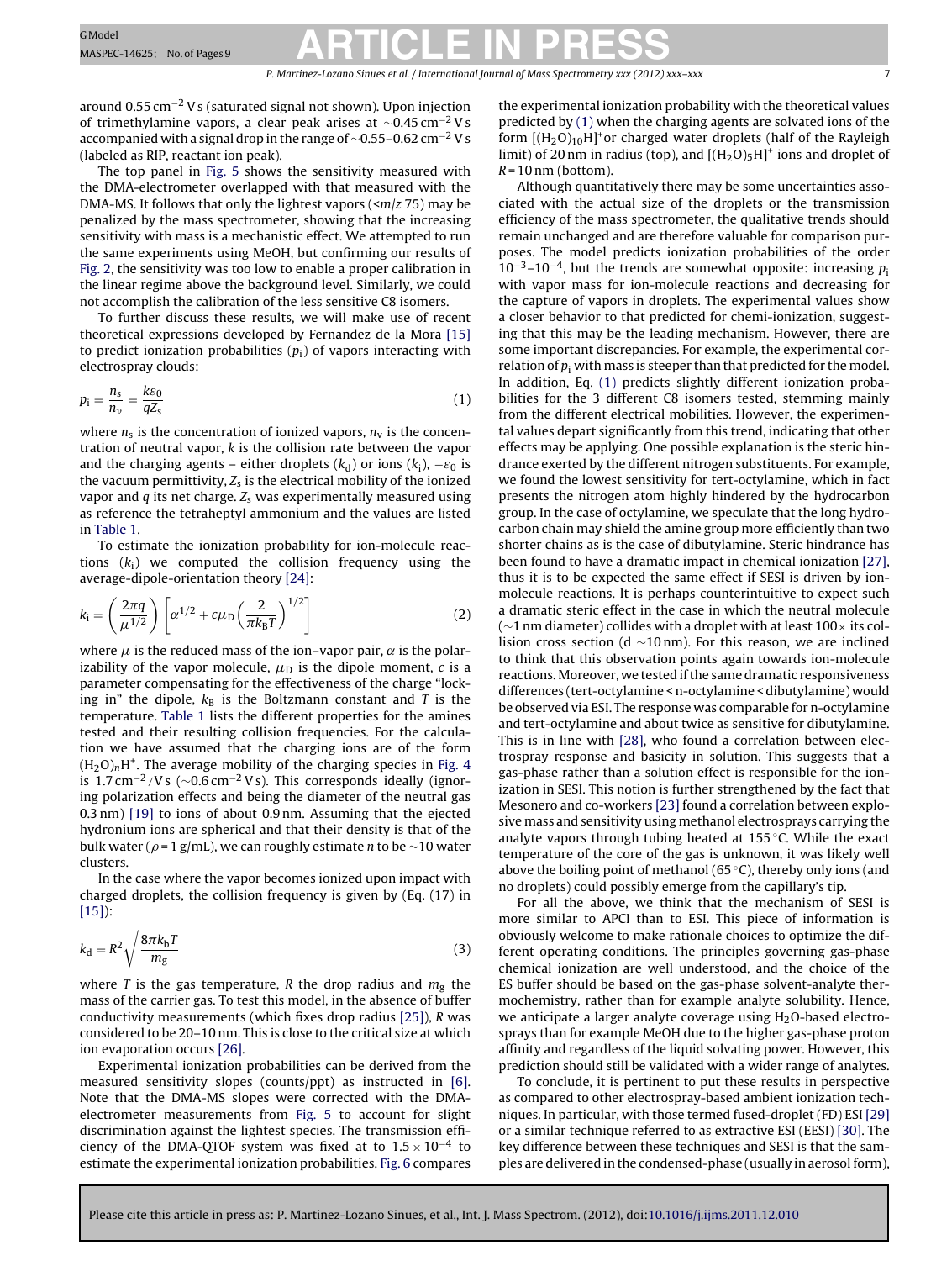<span id="page-6-0"></span>around 0.55 cm−<sup>2</sup> Vs (saturated signal not shown). Upon injection of trimethylamine vapors, a clear peak arises at  $\sim$ 0.45 cm<sup>-2</sup> Vs accompanied with a signal drop in the range of ~0.55–0.62 cm<sup>-2</sup> Vs (labeled as RIP, reactant ion peak).

The top panel in [Fig.](#page-5-0) 5 shows the sensitivity measured with the DMA-electrometer overlapped with that measured with the DMA-MS. It follows that only the lightest vapors ( $\langle m/z 75$ ) may be penalized by the mass spectrometer, showing that the increasing sensitivity with mass is a mechanistic effect. We attempted to run the same experiments using MeOH, but confirming our results of [Fig.](#page-3-0) 2, the sensitivity was too low to enable a proper calibration in the linear regime above the background level. Similarly, we could not accomplish the calibration of the less sensitive C8 isomers.

To further discuss these results, we will make use of recent theoretical expressions developed by Fernandez de la Mora [\[15\]](#page-7-0) to predict ionization probabilities  $(p_i)$  of vapors interacting with electrospray clouds:

$$
p_i = \frac{n_s}{n_\nu} = \frac{k\varepsilon_0}{qZ_s} \tag{1}
$$

where  $n_s$  is the concentration of ionized vapors,  $n_v$  is the concentration of neutral vapor, k is the collision rate between the vapor and the charging agents – either droplets ( $k_d$ ) or ions ( $k_i$ ),  $-\varepsilon_0$  is the vacuum permittivity,  $Z_s$  is the electrical mobility of the ionized vapor and  $q$  its net charge.  $Z<sub>s</sub>$  was experimentally measured using as reference the tetraheptyl ammonium and the values are listed in [Table](#page-2-0) 1.

To estimate the ionization probability for ion-molecule reactions  $(k_i)$  we computed the collision frequency using the average-dipole-orientation theory [\[24\]:](#page-8-0)

$$
k_{\rm i} = \left(\frac{2\pi q}{\mu^{1/2}}\right) \left[\alpha^{1/2} + c\mu_{\rm D}\left(\frac{2}{\pi k_{\rm B}T}\right)^{1/2}\right] \tag{2}
$$

where  $\mu$  is the reduced mass of the ion–vapor pair,  $\alpha$  is the polarizability of the vapor molecule,  $\mu_D$  is the dipole moment, c is a parameter compensating for the effectiveness of the charge "locking in" the dipole,  $k_B$  is the Boltzmann constant and T is the temperature. [Table](#page-2-0) 1 lists the different properties for the amines tested and their resulting collision frequencies. For the calculation we have assumed that the charging ions are of the form  $(H_2O)_nH^+$ . The average mobility of the charging species in [Fig.](#page-4-0) 4 is 1.7 cm−2/Vs (∼0.6 cm−<sup>2</sup> Vs). This corresponds ideally (ignoring polarization effects and being the diameter of the neutral gas 0.3 nm) [\[19\]](#page-8-0) to ions of about 0.9 nm. Assuming that the ejected hydronium ions are spherical and that their density is that of the bulk water ( $\rho$  = 1 g/mL), we can roughly estimate *n* to be ~10 water clusters.

In the case where the vapor becomes ionized upon impact with charged droplets, the collision frequency is given by (Eq. (17) in  $[15]$ :

$$
k_{\rm d} = R^2 \sqrt{\frac{8\pi k_{\rm b}T}{m_{\rm g}}} \tag{3}
$$

where T is the gas temperature, R the drop radius and  $m<sub>g</sub>$  the mass of the carrier gas. To test this model, in the absence of buffer conductivity measurements (which fixes drop radius [\[25\]\),](#page-8-0) R was considered to be 20–10 nm. This is close to the critical size at which ion evaporation occurs [\[26\].](#page-8-0)

Experimental ionization probabilities can be derived from the measured sensitivity slopes (counts/ppt) as instructed in [\[6\].](#page-7-0) Note that the DMA-MS slopes were corrected with the DMAelectrometer measurements from [Fig.](#page-5-0) 5 to account for slight discrimination against the lightest species. The transmission efficiency of the DMA-QTOF system was fixed at to  $1.5 \times 10^{-4}$  to estimate the experimental ionization probabilities. [Fig.](#page-5-0) 6 compares

the experimental ionization probability with the theoretical values predicted by (1) when the charging agents are solvated ions of the form  $[(H<sub>2</sub>O)<sub>10</sub>H]<sup>+</sup>$ or charged water droplets (half of the Rayleigh limit) of 20 nm in radius (top), and  $[(H<sub>2</sub>O)<sub>5</sub>H]<sup>+</sup>$  ions and droplet of  $R = 10$  nm (bottom).

Although quantitatively there may be some uncertainties associated with the actual size of the droplets or the transmission efficiency of the mass spectrometer, the qualitative trends should remain unchanged and are therefore valuable for comparison purposes. The model predicts ionization probabilities of the order  $10^{-3}$ –10<sup>-4</sup>, but the trends are somewhat opposite: increasing  $p_i$ with vapor mass for ion-molecule reactions and decreasing for the capture of vapors in droplets. The experimental values show a closer behavior to that predicted for chemi-ionization, suggesting that this may be the leading mechanism. However, there are some important discrepancies. For example, the experimental correlation of  $p_i$  with mass is steeper than that predicted for the model. In addition, Eq. (1) predicts slightly different ionization probabilities for the 3 different C8 isomers tested, stemming mainly from the different electrical mobilities. However, the experimental values depart significantly from this trend, indicating that other effects may be applying. One possible explanation is the steric hindrance exerted by the different nitrogen substituents. For example, we found the lowest sensitivity for tert-octylamine, which in fact presents the nitrogen atom highly hindered by the hydrocarbon group. In the case of octylamine, we speculate that the long hydrocarbon chain may shield the amine group more efficiently than two shorter chains as is the case of dibutylamine. Steric hindrance has been found to have a dramatic impact in chemical ionization [\[27\],](#page-8-0) thus it is to be expected the same effect if SESI is driven by ionmolecule reactions. It is perhaps counterintuitive to expect such a dramatic steric effect in the case in which the neutral molecule (∼1 nm diameter) collides with a droplet with at least 100× its collision cross section (d ∼10 nm). For this reason, we are inclined to think that this observation points again towards ion-molecule reactions. Moreover, we tested if the same dramatic responsiveness differences (tert-octylamine < n-octylamine < dibutylamine) would be observed via ESI. The response was comparable for n-octylamine and tert-octylamine and about twice as sensitive for dibutylamine. This is in line with [\[28\],](#page-8-0) who found a correlation between electrospray response and basicity in solution. This suggests that a gas-phase rather than a solution effect is responsible for the ionization in SESI. This notion is further strengthened by the fact that Mesonero and co-workers [\[23\]](#page-8-0) found a correlation between explosive mass and sensitivity using methanol electrosprays carrying the analyte vapors through tubing heated at 155 ◦C. While the exact temperature of the core of the gas is unknown, it was likely well above the boiling point of methanol (65 $\degree$ C), thereby only ions (and no droplets) could possibly emerge from the capillary's tip.

For all the above, we think that the mechanism of SESI is more similar to APCI than to ESI. This piece of information is obviously welcome to make rationale choices to optimize the different operating conditions. The principles governing gas-phase chemical ionization are well understood, and the choice of the ES buffer should be based on the gas-phase solvent-analyte thermochemistry, rather than for example analyte solubility. Hence, we anticipate a larger analyte coverage using  $H<sub>2</sub>O$ -based electrosprays than for example MeOH due to the higher gas-phase proton affinity and regardless of the liquid solvating power. However, this prediction should still be validated with a wider range of analytes.

To conclude, it is pertinent to put these results in perspective as compared to other electrospray-based ambient ionization techniques. In particular, with those termed fused-droplet (FD) ESI [\[29\]](#page-8-0) or a similar technique referred to as extractive ESI (EESI) [\[30\].](#page-8-0) The key difference between these techniques and SESI is that the samples are delivered in the condensed-phase (usually in aerosolform),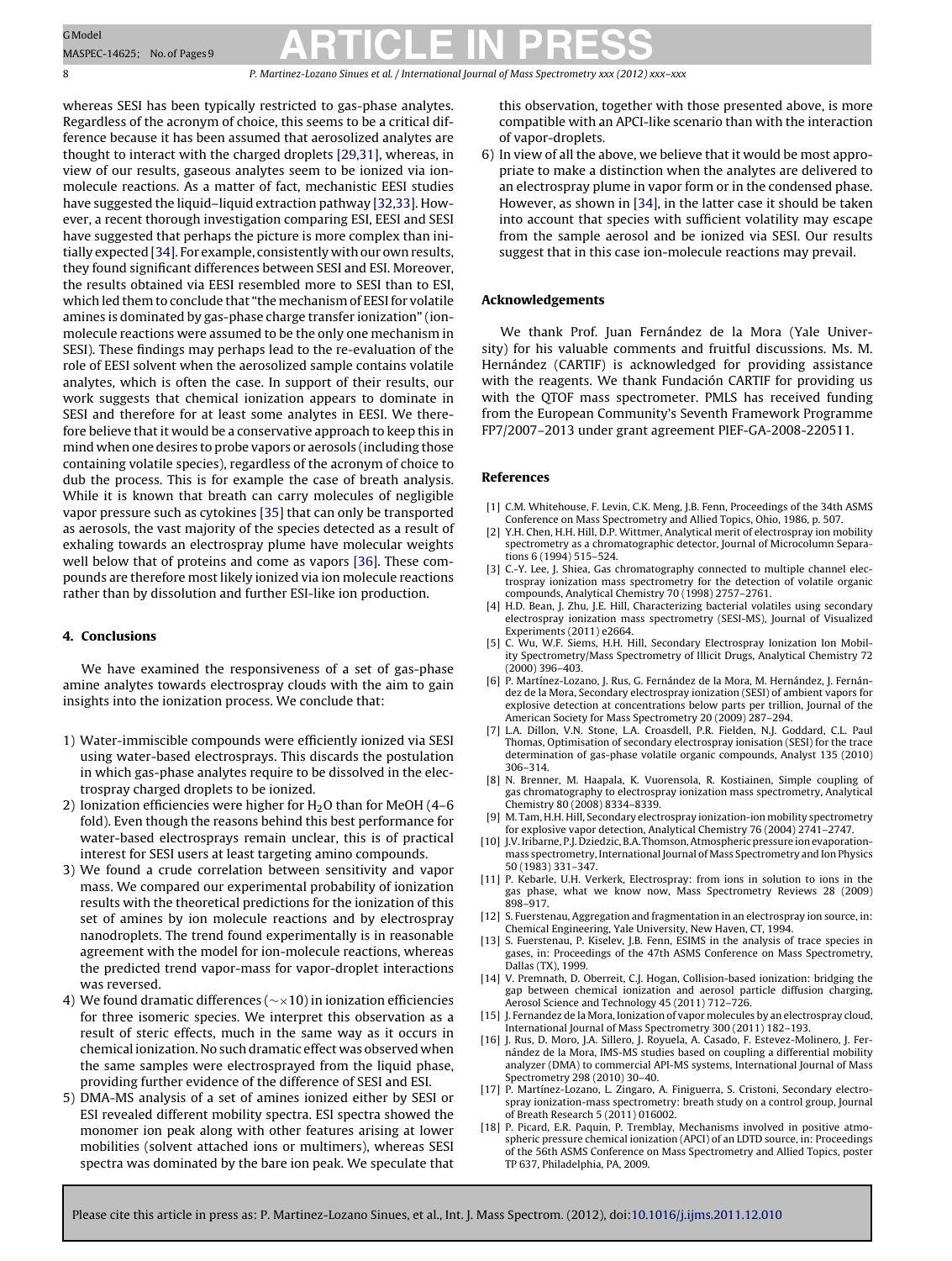<span id="page-7-0"></span>8 P. Martinez-Lozano Sinues et al. / International Journal of Mass Spectrometry *xxx (2012) xxx–xxx*

whereas SESI has been typically restricted to gas-phase analytes. Regardless of the acronym of choice, this seems to be a critical difference because it has been assumed that aerosolized analytes are thought to interact with the charged droplets [\[29,31\],](#page-8-0) whereas, in view of our results, gaseous analytes seem to be ionized via ionmolecule reactions. As a matter of fact, mechanistic EESI studies have suggested the liquid–liquid extraction pathway [\[32,33\].](#page-8-0) However, a recent thorough investigation comparing ESI, EESI and SESI have suggested that perhaps the picture is more complex than initially expected [\[34\].](#page-8-0) For example, consistently with our own results, they found significant differences between SESI and ESI. Moreover, the results obtained via EESI resembled more to SESI than to ESI, which led them to conclude that "the mechanism of EESI for volatile amines is dominated by gas-phase charge transfer ionization" (ionmolecule reactions were assumed to be the only one mechanism in SESI). These findings may perhaps lead to the re-evaluation of the role of EESI solvent when the aerosolized sample contains volatile analytes, which is often the case. In support of their results, our work suggests that chemical ionization appears to dominate in SESI and therefore for at least some analytes in EESI. We therefore believe that it would be a conservative approach to keep this in mind when one desires to probe vapors or aerosols (including those containing volatile species), regardless of the acronym of choice to dub the process. This is for example the case of breath analysis. While it is known that breath can carry molecules of negligible vapor pressure such as cytokines [\[35\]](#page-8-0) that can only be transported as aerosols, the vast majority of the species detected as a result of exhaling towards an electrospray plume have molecular weights well below that of proteins and come as vapors [\[36\].](#page-8-0) These compounds are therefore most likely ionized via ion molecule reactions rather than by dissolution and further ESI-like ion production.

### **4. Conclusions**

We have examined the responsiveness of a set of gas-phase amine analytes towards electrospray clouds with the aim to gain insights into the ionization process. We conclude that:

- 1) Water-immiscible compounds were efficiently ionized via SESI using water-based electrosprays. This discards the postulation in which gas-phase analytes require to be dissolved in the electrospray charged droplets to be ionized.
- 2) Ionization efficiencies were higher for  $H<sub>2</sub>O$  than for MeOH (4–6 fold). Even though the reasons behind this best performance for water-based electrosprays remain unclear, this is of practical interest for SESI users at least targeting amino compounds.
- 3) We found a crude correlation between sensitivity and vapor mass. We compared our experimental probability of ionization results with the theoretical predictions for the ionization of this set of amines by ion molecule reactions and by electrospray nanodroplets. The trend found experimentally is in reasonable agreement with the model for ion-molecule reactions, whereas the predicted trend vapor-mass for vapor-droplet interactions was reversed.
- 4) We found dramatic differences (∼×10) in ionization efficiencies for three isomeric species. We interpret this observation as a result of steric effects, much in the same way as it occurs in chemical ionization. No such dramatic effect was observed when the same samples were electrosprayed from the liquid phase, providing further evidence of the difference of SESI and ESI.
- 5) DMA-MS analysis of a set of amines ionized either by SESI or ESI revealed different mobility spectra. ESI spectra showed the monomer ion peak along with other features arising at lower mobilities (solvent attached ions or multimers), whereas SESI spectra was dominated by the bare ion peak. We speculate that

this observation, together with those presented above, is more compatible with an APCI-like scenario than with the interaction of vapor-droplets.

6) In view of all the above, we believe that it would be most appropriate to make a distinction when the analytes are delivered to an electrospray plume in vapor form or in the condensed phase. However, as shown in [\[34\],](#page-8-0) in the latter case it should be taken into account that species with sufficient volatility may escape from the sample aerosol and be ionized via SESI. Our results suggest that in this case ion-molecule reactions may prevail.

#### **Acknowledgements**

We thank Prof. Juan Fernández de la Mora (Yale University) for his valuable comments and fruitful discussions. Ms. M. Hernández (CARTIF) is acknowledged for providing assistance with the reagents. We thank Fundación CARTIF for providing us with the QTOF mass spectrometer. PMLS has received funding from the European Community's Seventh Framework Programme FP7/2007–2013 under grant agreement PIEF-GA-2008-220511.

### **References**

- [1] C.M. Whitehouse, F. Levin, C.K. Meng, J.B. Fenn, Proceedings of the 34th ASMS Conference on Mass Spectrometry and Allied Topics, Ohio, 1986, p. 507.
- [2] Y.H. Chen, H.H. Hill, D.P. Wittmer, Analytical merit of electrospray ion mobility spectrometry as a chromatographic detector, Journal of Microcolumn Separations 6 (1994) 515–524.
- [3] C.-Y. Lee, J. Shiea, Gas chromatography connected to multiple channel electrospray ionization mass spectrometry for the detection of volatile organic compounds, Analytical Chemistry 70 (1998) 2757–2761.
- [4] H.D. Bean, J. Zhu, J.E. Hill, Characterizing bacterial volatiles using secondary electrospray ionization mass spectrometry (SESI-MS), Journal of Visualized Experiments (2011) e2664.
- [5] C. Wu, W.F. Siems, H.H. Hill, Secondary Electrospray Ionization Ion Mobility Spectrometry/Mass Spectrometry of Illicit Drugs, Analytical Chemistry 72 (2000) 396–403.
- [6] P. Martínez-Lozano, J. Rus, G. Fernández de la Mora, M. Hernández, J. Fernández de la Mora, Secondary electrospray ionization (SESI) of ambient vapors for explosive detection at concentrations below parts per trillion, Journal of the American Society for Mass Spectrometry 20 (2009) 287–294.
- [7] L.A. Dillon, V.N. Stone, L.A. Croasdell, P.R. Fielden, N.J. Goddard, C.L. Paul Thomas, Optimisation of secondary electrospray ionisation (SESI) for the trace determination of gas-phase volatile organic compounds, Analyst 135 (2010) 306–314.
- [8] N. Brenner, M. Haapala, K. Vuorensola, R. Kostiainen, Simple coupling of gas chromatography to electrospray ionization mass spectrometry, Analytical Chemistry 80 (2008) 8334–8339.
- [9] M. Tam, H.H. Hill, Secondary electrospray ionization-ion mobility spectrometry for explosive vapor detection, Analytical Chemistry 76 (2004) 2741–2747.
- [10] J.V. Iribarne, P.J. Dziedzic, B.A. Thomson, Atmospheric pressure ion evaporationmass spectrometry, International Journal of Mass Spectrometry and Ion Physics 50 (1983) 331–347.
- [11] P. Kebarle, U.H. Verkerk, Electrospray: from ions in solution to ions in the gas phase, what we know now, Mass Spectrometry Reviews 28 (2009) 898–917.
- [12] S. Fuerstenau, Aggregation and fragmentation in an electrospray ion source, in: Chemical Engineering, Yale University, New Haven, CT, 1994.
- [13] S. Fuerstenau, P. Kiselev, J.B. Fenn, ESIMS in the analysis of trace species in gases, in: Proceedings of the 47th ASMS Conference on Mass Spectrometry, Dallas (TX), 1999.
- [14] V. Premnath, D. Oberreit, C.J. Hogan, Collision-based ionization: bridging the gap between chemical ionization and aerosol particle diffusion charging, Aerosol Science and Technology 45 (2011) 712–726.
- [15] J. Fernandez de la Mora, Ionization of vapor molecules by an electrospray cloud, International Journal of Mass Spectrometry 300 (2011) 182–193.
- [16] J. Rus, D. Moro, J.A. Sillero, J. Royuela, A. Casado, F. Estevez-Molinero, J. Fernández de la Mora, IMS-MS studies based on coupling a differential mobility analyzer (DMA) to commercial API-MS systems, International Journal of Mass Spectrometry 298 (2010) 30–40.
- [17] P. Martínez-Lozano, L. Zingaro, A. Finiguerra, S. Cristoni, Secondary electrospray ionization-mass spectrometry: breath study on a control group, Journal of Breath Research 5 (2011) 016002.
- [18] P. Picard, E.R. Paquin, P. Tremblay, Mechanisms involved in positive atmospheric pressure chemical ionization (APCI) of an LDTD source, in: Proceedings of the 56th ASMS Conference on Mass Spectrometry and Allied Topics, poster TP 637, Philadelphia, PA, 2009.